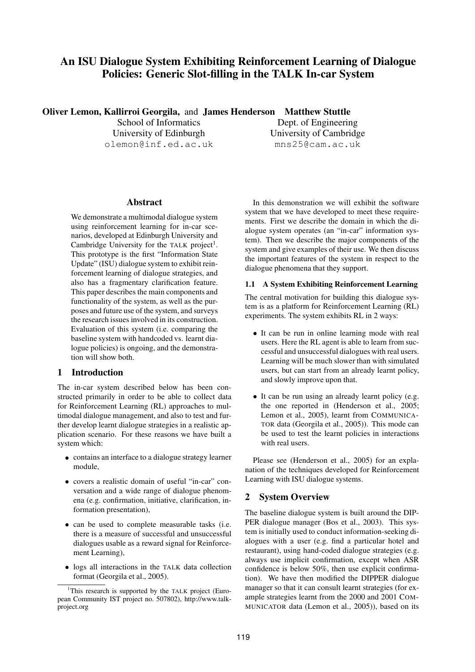# **An ISU Dialogue System Exhibiting Reinforcement Learning of Dialogue Policies: Generic Slot-filling in the TALK In-car System**

**Oliver Lemon, Kallirroi Georgila,** and **James Henderson Matthew Stuttle**

School of Informatics University of Edinburgh olemon@inf.ed.ac.uk

Dept. of Engineering University of Cambridge mns25@cam.ac.uk

# **Abstract**

We demonstrate a multimodal dialogue system using reinforcement learning for in-car scenarios, developed at Edinburgh University and Cambridge University for the TALK project<sup>1</sup>. This prototype is the first "Information State Update" (ISU) dialogue system to exhibit reinforcement learning of dialogue strategies, and also has a fragmentary clarification feature. This paper describes the main components and functionality of the system, as well as the purposes and future use of the system, and surveys the research issues involved in its construction. Evaluation of this system (i.e. comparing the baseline system with handcoded vs. learnt dialogue policies) is ongoing, and the demonstration will show both.

# **1 Introduction**

The in-car system described below has been constructed primarily in order to be able to collect data for Reinforcement Learning (RL) approaches to multimodal dialogue management, and also to test and further develop learnt dialogue strategies in a realistic application scenario. For these reasons we have built a system which:

- contains an interface to a dialogue strategy learner module,
- covers a realistic domain of useful "in-car" conversation and a wide range of dialogue phenomena (e.g. confirmation, initiative, clarification, information presentation),
- can be used to complete measurable tasks (i.e. there is a measure of successful and unsuccessful dialogues usable as a reward signal for Reinforcement Learning),
- logs all interactions in the TALK data collection format (Georgila et al., 2005).

In this demonstration we will exhibit the software system that we have developed to meet these requirements. First we describe the domain in which the dialogue system operates (an "in-car" information system). Then we describe the major components of the system and give examples of their use. We then discuss the important features of the system in respect to the dialogue phenomena that they support.

# **1.1 A System Exhibiting Reinforcement Learning**

The central motivation for building this dialogue system is as a platform for Reinforcement Learning (RL) experiments. The system exhibits RL in 2 ways:

- It can be run in online learning mode with real users. Here the RL agent is able to learn from successful and unsuccessful dialogues with real users. Learning will be much slower than with simulated users, but can start from an already learnt policy, and slowly improve upon that.
- It can be run using an already learnt policy (e.g. the one reported in (Henderson et al., 2005; Lemon et al., 2005), learnt from COMMUNICA-TOR data (Georgila et al., 2005)). This mode can be used to test the learnt policies in interactions with real users.

Please see (Henderson et al., 2005) for an explanation of the techniques developed for Reinforcement Learning with ISU dialogue systems.

# **2 System Overview**

The baseline dialogue system is built around the DIP-PER dialogue manager (Bos et al., 2003). This system is initially used to conduct information-seeking dialogues with a user (e.g. find a particular hotel and restaurant), using hand-coded dialogue strategies (e.g. always use implicit confirmation, except when ASR confidence is below 50%, then use explicit confirmation). We have then modified the DIPPER dialogue manager so that it can consult learnt strategies (for example strategies learnt from the 2000 and 2001 COM-MUNICATOR data (Lemon et al., 2005)), based on its

<sup>&</sup>lt;sup>1</sup>This research is supported by the TALK project (European Community IST project no. 507802), http://www.talkproject.org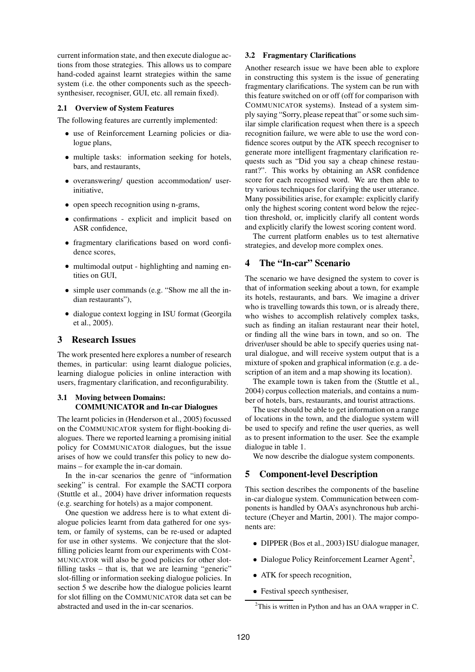current information state, and then execute dialogue actions from those strategies. This allows us to compare hand-coded against learnt strategies within the same system (i.e. the other components such as the speechsynthesiser, recogniser, GUI, etc. all remain fixed).

#### **2.1 Overview of System Features**

The following features are currently implemented:

- use of Reinforcement Learning policies or dialogue plans,
- multiple tasks: information seeking for hotels, bars, and restaurants,
- overanswering/ question accommodation/ userinitiative,
- open speech recognition using n-grams,
- confirmations explicit and implicit based on ASR confidence,
- fragmentary clarifications based on word confidence scores,
- multimodal output highlighting and naming entities on GUI,
- simple user commands (e.g. "Show me all the indian restaurants"),
- dialogue context logging in ISU format (Georgila et al., 2005).

## **3 Research Issues**

The work presented here explores a number of research themes, in particular: using learnt dialogue policies, learning dialogue policies in online interaction with users, fragmentary clarification, and reconfigurability.

## **3.1 Moving between Domains: COMMUNICATOR and In-car Dialogues**

The learnt policies in (Henderson et al., 2005) focussed on the COMMUNICATOR system for flight-booking dialogues. There we reported learning a promising initial policy for COMMUNICATOR dialogues, but the issue arises of how we could transfer this policy to new domains – for example the in-car domain.

In the in-car scenarios the genre of "information seeking" is central. For example the SACTI corpora (Stuttle et al., 2004) have driver information requests (e.g. searching for hotels) as a major component.

One question we address here is to what extent dialogue policies learnt from data gathered for one system, or family of systems, can be re-used or adapted for use in other systems. We conjecture that the slotfilling policies learnt from our experiments with COM-MUNICATOR will also be good policies for other slotfilling tasks – that is, that we are learning "generic" slot-filling or information seeking dialogue policies. In section 5 we describe how the dialogue policies learnt for slot filling on the COMMUNICATOR data set can be abstracted and used in the in-car scenarios.

#### **3.2 Fragmentary Clarifications**

Another research issue we have been able to explore in constructing this system is the issue of generating fragmentary clarifications. The system can be run with this feature switched on or off (off for comparison with COMMUNICATOR systems). Instead of a system simply saying "Sorry, please repeat that" or some such similar simple clarification request when there is a speech recognition failure, we were able to use the word confidence scores output by the ATK speech recogniser to generate more intelligent fragmentary clarification requests such as "Did you say a cheap chinese restaurant?". This works by obtaining an ASR confidence score for each recognised word. We are then able to try various techniques for clarifying the user utterance. Many possibilities arise, for example: explicitly clarify only the highest scoring content word below the rejection threshold, or, implicitly clarify all content words and explicitly clarify the lowest scoring content word.

The current platform enables us to test alternative strategies, and develop more complex ones.

# **4 The "In-car" Scenario**

The scenario we have designed the system to cover is that of information seeking about a town, for example its hotels, restaurants, and bars. We imagine a driver who is travelling towards this town, or is already there, who wishes to accomplish relatively complex tasks, such as finding an italian restaurant near their hotel, or finding all the wine bars in town, and so on. The driver/user should be able to specify queries using natural dialogue, and will receive system output that is a mixture of spoken and graphical information (e.g. a description of an item and a map showing its location).

The example town is taken from the (Stuttle et al., 2004) corpus collection materials, and contains a number of hotels, bars, restaurants, and tourist attractions.

The user should be able to get information on a range of locations in the town, and the dialogue system will be used to specify and refine the user queries, as well as to present information to the user. See the example dialogue in table 1.

We now describe the dialogue system components.

### **5 Component-level Description**

This section describes the components of the baseline in-car dialogue system. Communication between components is handled by OAA's asynchronous hub architecture (Cheyer and Martin, 2001). The major components are:

- DIPPER (Bos et al., 2003) ISU dialogue manager,
- Dialogue Policy Reinforcement Learner Agent<sup>2</sup>,
- ATK for speech recognition,
- Festival speech synthesiser,

<sup>&</sup>lt;sup>2</sup>This is written in Python and has an OAA wrapper in C.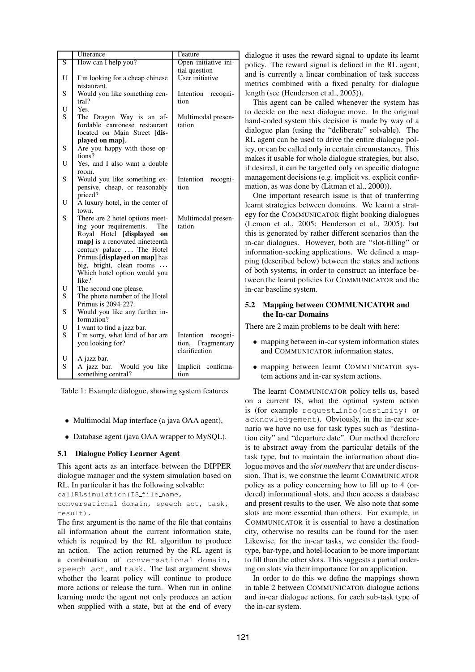|                         | Utterance                                            | Feature               |
|-------------------------|------------------------------------------------------|-----------------------|
| $\overline{\mathbf{S}}$ | How can I help you?                                  | Open initiative ini-  |
|                         |                                                      | tial question         |
| U                       | I'm looking for a cheap chinese                      | User initiative       |
|                         | restaurant.                                          |                       |
| S                       | Would you like something cen-                        | Intention<br>recogni- |
|                         | tral?                                                | tion                  |
| U                       | Yes.                                                 |                       |
| S                       | The Dragon Way is an af-                             | Multimodal presen-    |
|                         | fordable cantonese restaurant                        | tation                |
|                         | located on Main Street [dis-                         |                       |
|                         | played on map].                                      |                       |
| S                       | Are you happy with those op-                         |                       |
|                         | tions?                                               |                       |
| U                       | Yes, and I also want a double                        |                       |
|                         | room.                                                |                       |
| S                       | Would you like something ex-                         | Intention recogni-    |
|                         | pensive, cheap, or reasonably                        | tion                  |
|                         | priced?                                              |                       |
| U                       | A luxury hotel, in the center of                     |                       |
|                         | town.                                                |                       |
| S                       | There are 2 hotel options meet-                      | Multimodal presen-    |
|                         | ing your requirements.<br>The                        | tation                |
|                         | Royal Hotel [displayed<br>on                         |                       |
|                         | map] is a renovated nineteenth                       |                       |
|                         | century palace The Hotel                             |                       |
|                         | Primus [displayed on map] has                        |                       |
|                         | big, bright, clean rooms                             |                       |
|                         | Which hotel option would you                         |                       |
| U                       | like?                                                |                       |
| $\overline{S}$          | The second one please.                               |                       |
|                         | The phone number of the Hotel<br>Primus is 2094-227. |                       |
| S                       | Would you like any further in-                       |                       |
|                         | formation?                                           |                       |
| U                       | I want to find a jazz bar.                           |                       |
| S                       | I'm sorry, what kind of bar are                      | Intention recogni-    |
|                         | you looking for?                                     | tion, Fragmentary     |
|                         |                                                      | clarification         |
| U                       | A jazz bar.                                          |                       |
| $\overline{S}$          | A jazz bar. Would you like                           | Implicit confirma-    |
|                         | something central?                                   | tion                  |

Table 1: Example dialogue, showing system features

- Multimodal Map interface (a java OAA agent),
- Database agent (java OAA wrapper to MySQL).

#### **5.1 Dialogue Policy Learner Agent**

This agent acts as an interface between the DIPPER dialogue manager and the system simulation based on RL. In particular it has the following solvable:

```
callRLsimulation(IS file name,
conversational domain, speech act, task,
```
result).

The first argument is the name of the file that contains all information about the current information state, which is required by the RL algorithm to produce an action. The action returned by the RL agent is a combination of conversational domain, speech act, and task. The last argument shows whether the learnt policy will continue to produce more actions or release the turn. When run in online learning mode the agent not only produces an action when supplied with a state, but at the end of every

dialogue it uses the reward signal to update its learnt policy. The reward signal is defined in the RL agent, and is currently a linear combination of task success metrics combined with a fixed penalty for dialogue length (see (Henderson et al., 2005)).

This agent can be called whenever the system has to decide on the next dialogue move. In the original hand-coded system this decision is made by way of a dialogue plan (using the "deliberate" solvable). The RL agent can be used to drive the entire dialogue policy, or can be called only in certain circumstances. This makes it usable for whole dialogue strategies, but also, if desired, it can be targetted only on specific dialogue management decisions (e.g. implicit vs. explicit confirmation, as was done by (Litman et al., 2000)).

One important research issue is that of tranferring learnt strategies between domains. We learnt a strategy for the COMMUNICATOR flight booking dialogues (Lemon et al., 2005; Henderson et al., 2005), but this is generated by rather different scenarios than the in-car dialogues. However, both are "slot-filling" or information-seeking applications. We defined a mapping (described below) between the states and actions of both systems, in order to construct an interface between the learnt policies for COMMUNICATOR and the in-car baseline system.

## **5.2 Mapping between COMMUNICATOR and the In-car Domains**

There are 2 main problems to be dealt with here:

- mapping between in-car system information states and COMMUNICATOR information states,
- mapping between learnt COMMUNICATOR system actions and in-car system actions.

The learnt COMMUNICATOR policy tells us, based on a current IS, what the optimal system action is (for example request info(dest city) or acknowledgement). Obviously, in the in-car scenario we have no use for task types such as "destination city" and "departure date". Our method therefore is to abstract away from the particular details of the task type, but to maintain the information about dialogue moves and the *slot numbers*that are under discussion. That is, we construe the learnt COMMUNICATOR policy as a policy concerning how to fill up to 4 (ordered) informational slots, and then access a database and present results to the user. We also note that some slots are more essential than others. For example, in COMMUNICATOR it is essential to have a destination city, otherwise no results can be found for the user. Likewise, for the in-car tasks, we consider the foodtype, bar-type, and hotel-location to be more important to fill than the other slots. This suggests a partial ordering on slots via their importance for an application.

In order to do this we define the mappings shown in table 2 between COMMUNICATOR dialogue actions and in-car dialogue actions, for each sub-task type of the in-car system.